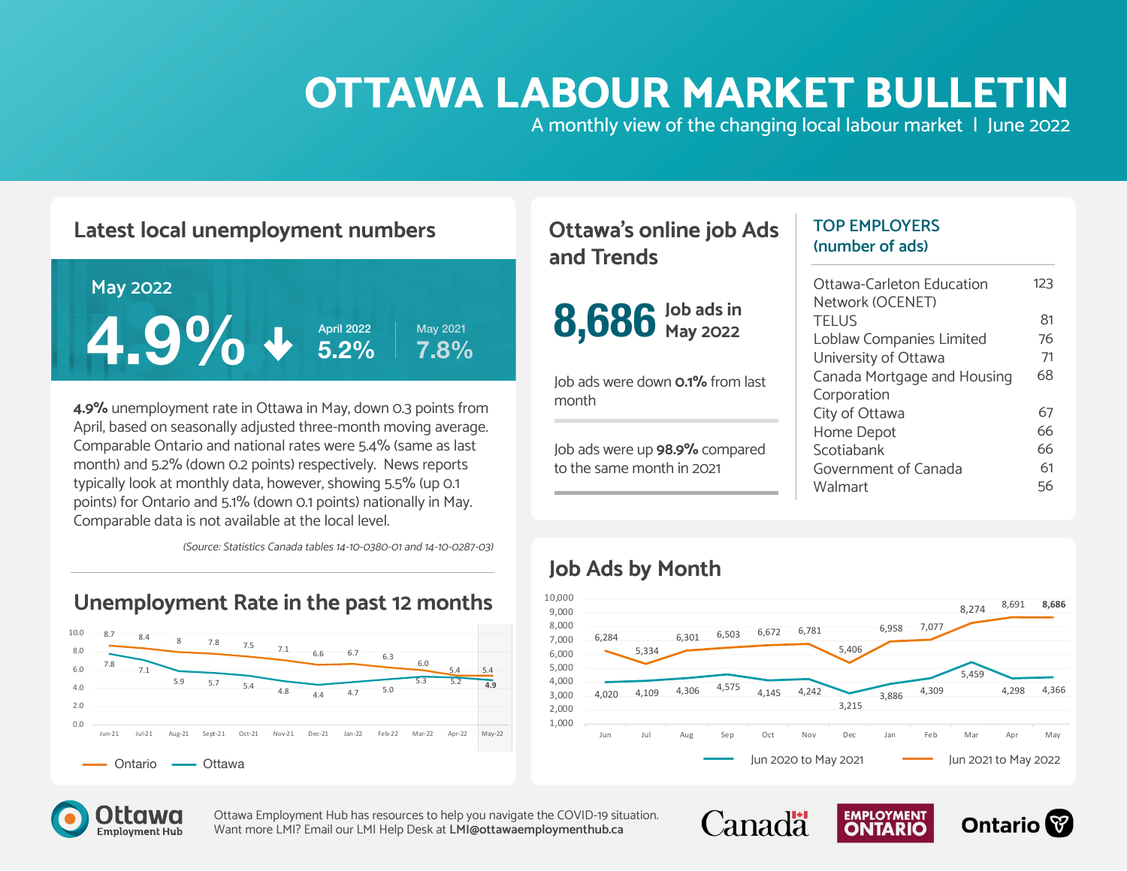# **OTTAWA LABOUR MARKET BULLETIN**

A monthly view of the changing local labour market | June 2022

#### **Latest local unemployment numbers**



**4.9%** unemployment rate in Ottawa in May, down 0.3 points from April, based on seasonally adjusted three-month moving average. Comparable Ontario and national rates were 5.4% (same as last month) and 5.2% (down 0.2 points) respectively. News reports typically look at monthly data, however, showing 5.5% (up 0.1 points) for Ontario and 5.1% (down 0.1 points) nationally in May. Comparable data is not available at the local level.

(Source: Statistics Canada tables 14-10-0380-01 and 14-10-0287-03)

#### **Unemployment Rate in the past 12 months**



#### **Ottawa's online job Ads and Trends**



Job ads were down **0.1%** from last month

Job ads were up **98.9%** compared to the same month in 2021

#### **TOP EMPLOYERS (number of ads)**

| Ottawa-Carleton Education<br>Network (OCENET) | 123 |
|-----------------------------------------------|-----|
| <b>TFIUS</b>                                  | 81  |
| Loblaw Companies Limited                      | 76  |
| University of Ottawa                          | 71  |
| Canada Mortgage and Housing                   | 68  |
| Corporation                                   |     |
| City of Ottawa                                | 67  |
| Home Depot                                    | 66  |
| Scotiabank                                    | 66  |
| Government of Canada                          | 61  |
| Walmart                                       | 56  |

#### **Job Ads by Month**



**EMPLOYMENT** 

**Ontario** 

**Canadä** 

![](_page_0_Picture_16.jpeg)

Ottawa Employment Hub has resources to help you navigate the COVID-19 situation. Want more LMI? Email our LMI Help Desk at **[LMI@ottawaemploymenthub.ca](mailto:%20LMI%40ottawaemploymenthub.ca?subject=)**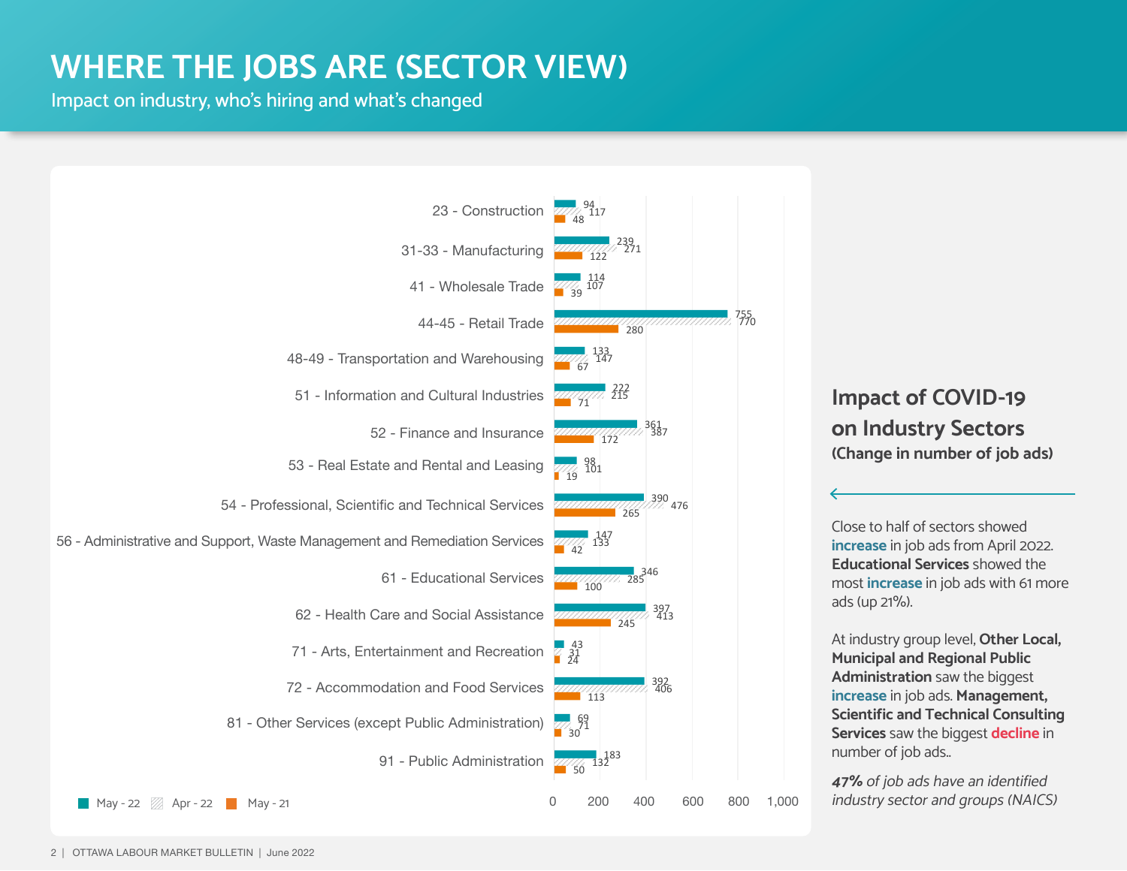### **WHERE THE JOBS ARE (SECTOR VIEW)**

Impact on industry, who's hiring and what's changed

![](_page_1_Figure_2.jpeg)

#### **Impact of COVID-19 on Industry Sectors (Change in number of job ads)**

Close to half of sectors showed **increase** in job ads from April 2022. **Educational Services** showed the most **increase** in job ads with 61 more ads (up 21%).

At industry group level, **Other Local, Municipal and Regional Public Administration** saw the biggest **increase** in job ads. **Management, Scientific and Technical Consulting Services** saw the biggest **decline** in number of job ads..

**47%** of job ads have an identified industry sector and groups (NAICS)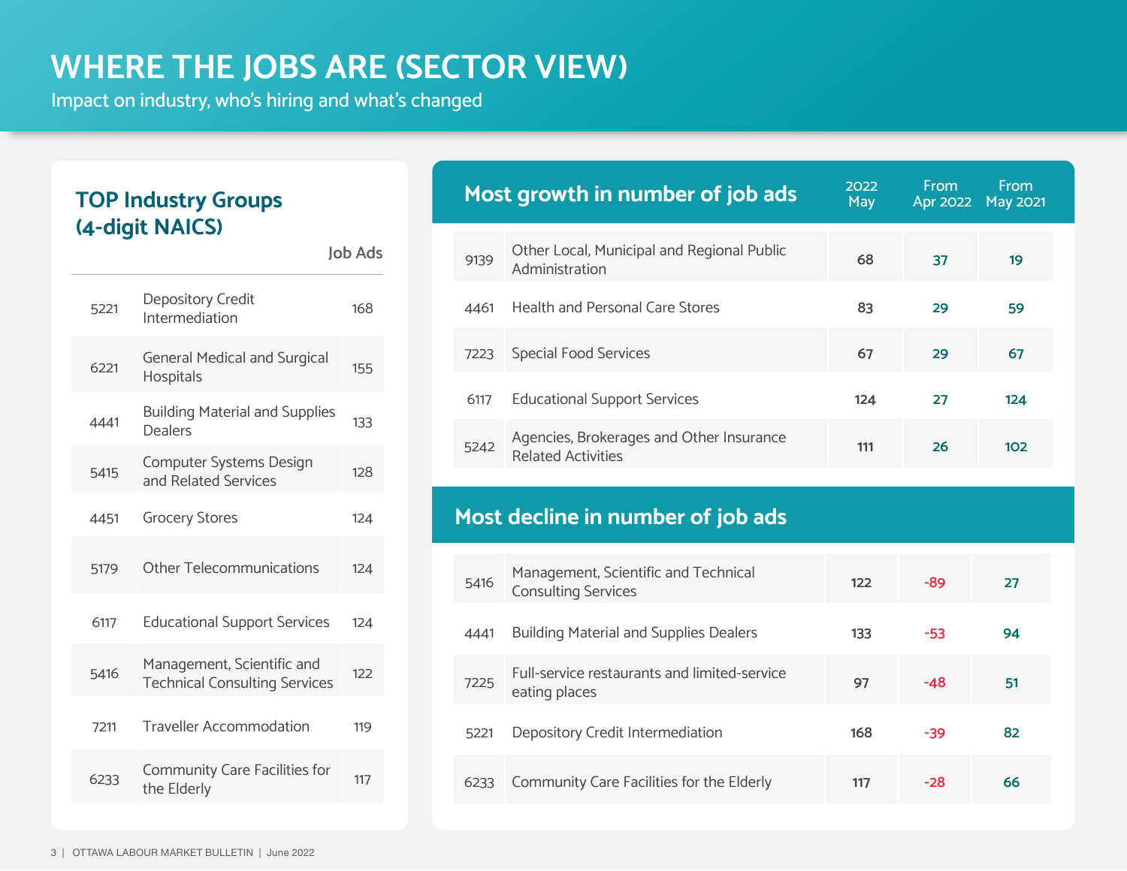# **WHERE THE JOBS ARE (SECTOR VIEW)**

**Job Ads**

Impact on industry, who's hiring and what's changed

#### **TOP Industry Groups (4-digit NAICS)**

| 5221 | Depository Credit<br>Intermediation                                | 168 |
|------|--------------------------------------------------------------------|-----|
| 6221 | <b>General Medical and Surgical</b><br><b>Hospitals</b>            | 155 |
| 4441 | <b>Building Material and Supplies</b><br><b>Dealers</b>            | 133 |
| 5415 | Computer Systems Design<br>and Related Services                    | 128 |
| 4451 | <b>Grocery Stores</b>                                              | 124 |
| 5179 | <b>Other Telecommunications</b>                                    | 124 |
| 6117 | <b>Educational Support Services</b>                                | 124 |
| 5416 | Management, Scientific and<br><b>Technical Consulting Services</b> | 122 |
| 7211 | <b>Traveller Accommodation</b>                                     | 119 |
| 6233 | Community Care Facilities for<br>the Elderly                       | 117 |
|      |                                                                    |     |

|      | Most growth in number of job ads                                      | 2022<br>May | From<br>Apr 2022 | From<br><b>May 2021</b> |
|------|-----------------------------------------------------------------------|-------------|------------------|-------------------------|
| 9139 | Other Local, Municipal and Regional Public<br>Administration          | 68          | 37               | 19                      |
| 4461 | <b>Health and Personal Care Stores</b>                                | 83          | 29               | 59                      |
| 7223 | <b>Special Food Services</b>                                          | 67          | 29               | 67                      |
| 6117 | <b>Educational Support Services</b>                                   | 124         | 27               | 124                     |
| 5242 | Agencies, Brokerages and Other Insurance<br><b>Related Activities</b> | 111         | 26               | 102                     |

#### **Most decline in number of job ads**

| 5416 | Management, Scientific and Technical<br><b>Consulting Services</b> | 122 | -89   | 27 |
|------|--------------------------------------------------------------------|-----|-------|----|
| 4441 | <b>Building Material and Supplies Dealers</b>                      | 133 | -53   | 94 |
| 7225 | Full-service restaurants and limited-service<br>eating places      | 97  | $-48$ | 51 |
| 5221 | Depository Credit Intermediation                                   | 168 | -39   | 82 |
| 6233 | Community Care Facilities for the Elderly                          | 117 | $-28$ | 66 |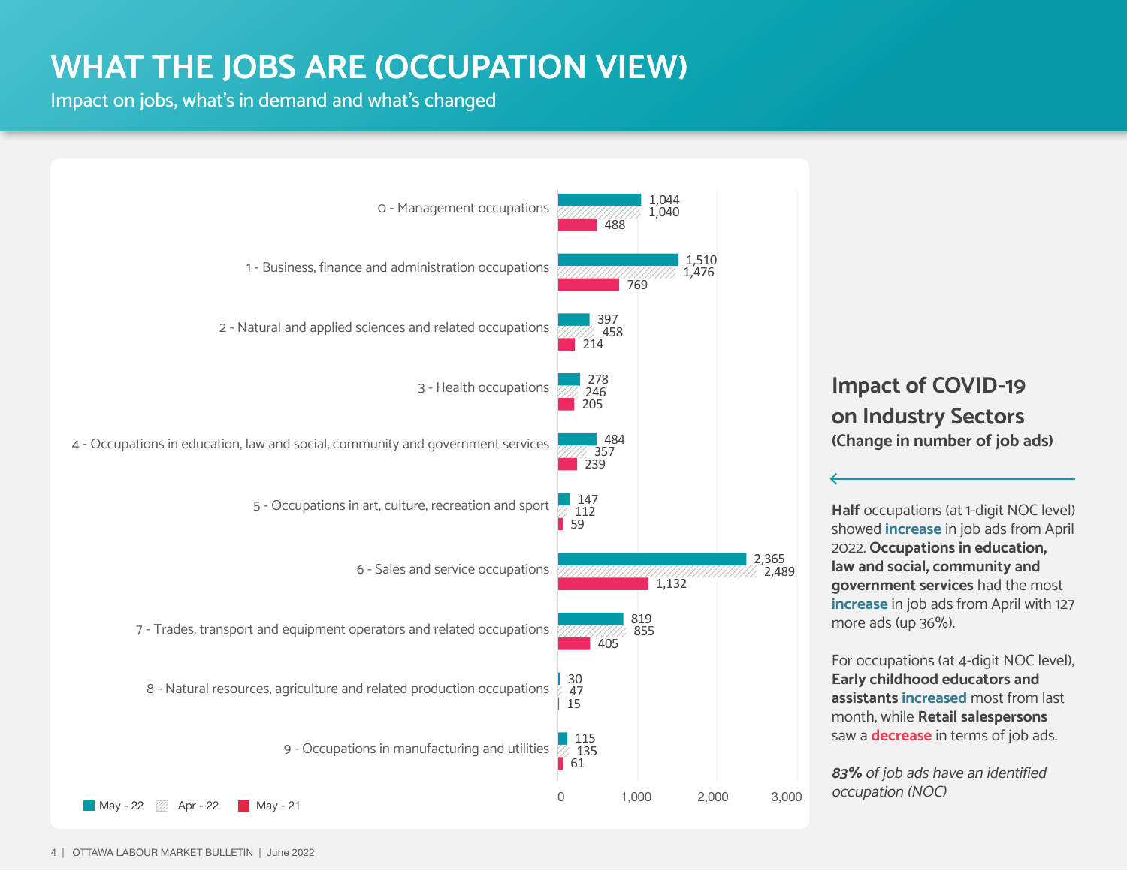# **WHAT THE JOBS ARE (OCCUPATION VIEW)**

Impact on jobs, what's in demand and what's changed

![](_page_3_Figure_2.jpeg)

#### **Impact of COVID-19 on Industry Sectors (Change in number of job ads)**

**Half** occupations (at 1-digit NOC level) showed **increase** in job ads from April 2022. **Occupations in education, law and social, community and government services** had the most **increase** in job ads from April with 127 more ads (up 36%).

For occupations (at 4-digit NOC level), **Early childhood educators and assistants increased** most from last month, while **Retail salespersons** saw a **decrease** in terms of job ads.

**83%** of job ads have an identified occupation (NOC)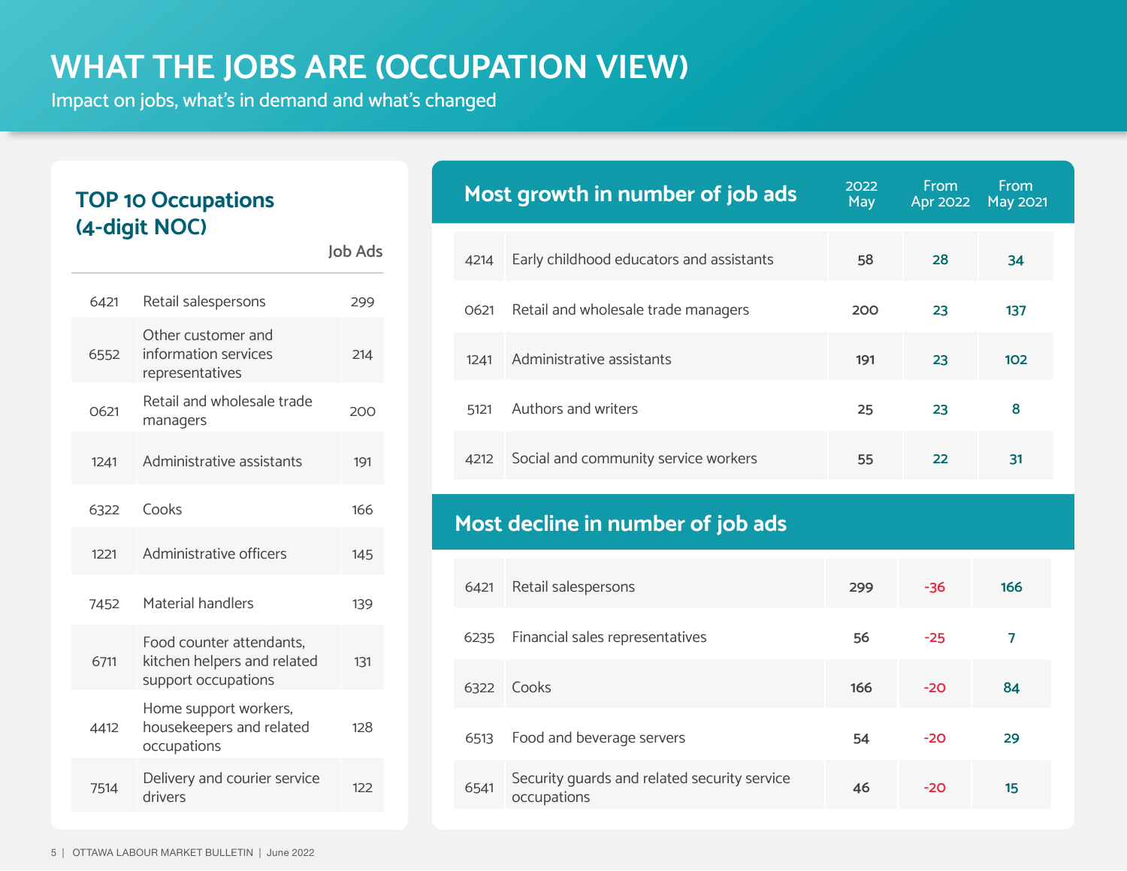# **WHAT THE JOBS ARE (OCCUPATION VIEW)**

**Job Ads**

Impact on jobs, what's in demand and what's changed

#### **TOP 10 Occupations (4-digit NOC)**

| 6421 | Retail salespersons                                                            | 299 |
|------|--------------------------------------------------------------------------------|-----|
| 6552 | Other customer and<br>information services<br>representatives                  | 214 |
| 0621 | Retail and wholesale trade<br>managers                                         | 200 |
| 1241 | Administrative assistants                                                      | 191 |
| 6322 | Cooks                                                                          | 166 |
| 1221 | Administrative officers                                                        | 145 |
| 7452 | Material handlers                                                              | 139 |
| 6711 | Food counter attendants.<br>kitchen helpers and related<br>support occupations | 131 |
| 4412 | Home support workers,<br>housekeepers and related<br>occupations               | 128 |
| 7514 | Delivery and courier service<br>drivers                                        | 122 |
|      |                                                                                |     |

|      | Most growth in number of job ads         | 2022<br>May | <b>From</b><br><b>Apr 2022</b> | From<br><b>May 2021</b> |
|------|------------------------------------------|-------------|--------------------------------|-------------------------|
| 4214 | Early childhood educators and assistants | 58          | 28                             | 34                      |
| 0621 | Retail and wholesale trade managers      | 200         | 23                             | 137                     |
| 1241 | Administrative assistants                | 191         | 23                             | 102                     |
| 5121 | Authors and writers                      | 25          | 23                             | 8                       |
| 4212 | Social and community service workers     | 55          | 22                             | 31                      |

### **Most decline in number of job ads**

| 6421 | Retail salespersons                                         | 299 | $-36$ | 166 |
|------|-------------------------------------------------------------|-----|-------|-----|
| 6235 | Financial sales representatives                             | 56  | $-25$ | 7   |
| 6322 | Cooks                                                       | 166 | $-20$ | 84  |
| 6513 | Food and beverage servers                                   | 54  | $-20$ | 29  |
| 6541 | Security guards and related security service<br>occupations | 46  | $-20$ | 15  |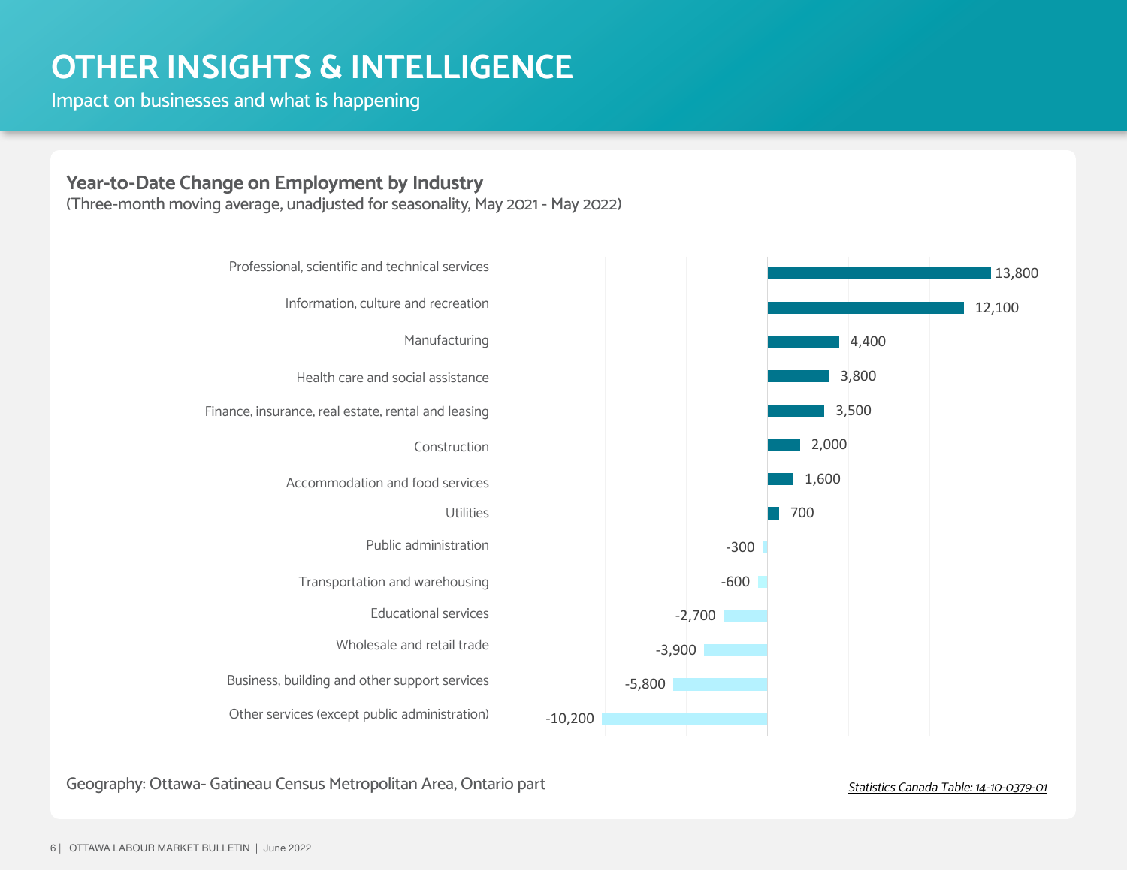### **OTHER INSIGHTS & INTELLIGENCE**

Impact on businesses and what is happening

#### **Year-to-Date Change on Employment by Industry**

(Three-month moving average, unadjusted for seasonality, May 2021 - May 2022)

![](_page_5_Figure_4.jpeg)

Geography: Ottawa- Gatineau Census Metropolitan Area, Ontario part